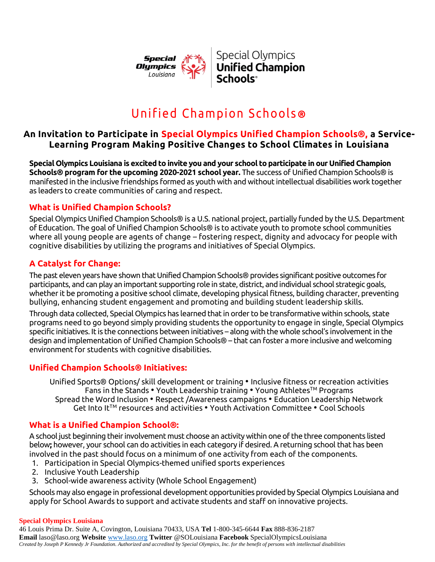

# Unified Cham pion Schools **®**

## **An Invitation to Participate in Special Olympics Unified Champion Schools®, a Service-Learning Program Making Positive Changes to School Climates in Louisiana**

**Special Olympics Louisiana is excited to invite you and your school to participate in our Unified Champion Schools® program for the upcoming 2020-2021 school year.** The success of Unified Champion Schools® is manifested in the inclusive friendships formed as youth with and without intellectual disabilities work together as leaders to create communities of caring and respect.

## **What is Unified Champion Schools?**

Special Olympics Unified Champion Schools® is a U.S. national project, partially funded by the U.S. Department of Education. The goal of Unified Champion Schools® is to activate youth to promote school communities where all young people are agents of change – fostering respect, dignity and advocacy for people with cognitive disabilities by utilizing the programs and initiatives of Special Olympics.

## **A Catalyst for Change:**

The past eleven years have shown that Unified Champion Schools® provides significant positive outcomes for participants, and can play an important supporting role in state, district, and individual school strategic goals, whether it be promoting a positive school climate, developing physical fitness, building character, preventing bullying, enhancing student engagement and promoting and building student leadership skills.

Through data collected, Special Olympics has learned that in order to be transformative within schools, state programs need to go beyond simply providing students the opportunity to engage in single, Special Olympics specific initiatives. It is the connections between initiatives – along with the whole school's involvement in the design and implementation of Unified Champion Schools® – that can foster a more inclusive and welcoming environment for students with cognitive disabilities.

## **Unified Champion Schools® Initiatives:**

Unified Sports® Options/ skill development or training • Inclusive fitness or recreation activities Fans in the Stands • Youth Leadership training • Young Athletes™ Programs Spread the Word Inclusion • Respect /Awareness campaigns • Education Leadership Network Get Into It™ resources and activities • Youth Activation Committee • Cool Schools

## **What is a Unified Champion School®:**

A school just beginning their involvement must choose an activity within one of the three components listed below**;** however, your school can do activities in each category if desired. A returning school that has been involved in the past should focus on a minimum of one activity from each of the components.

- 1. Participation in Special Olympics-themed unified sports experiences
- 2. Inclusive Youth Leadership
- 3. School-wide awareness activity (Whole School Engagement)

Schools may also engage in professional development opportunities provided by Special Olympics Louisiana and apply for School Awards to support and activate students and staff on innovative projects.

#### **Special Olympics Louisiana**

46 Louis Prima Dr. Suite A, Covington, Louisiana 70433, USA **Tel** 1-800-345-6644 **Fax** 888-836-2187 **Email** laso@laso.org **Website** [www.laso.org](http://www.laso.org/) **Twitter** @SOLouisiana **Facebook** SpecialOlympicsLouisiana *Created by Joseph P Kennedy Jr Foundation. Authorized and accredited by Special Olympics, Inc. for the benefit of persons with intellectual disabilities*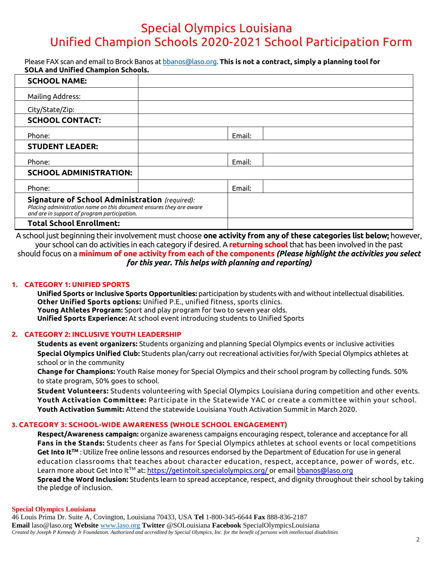## Special Olympics Louisiana Unified Champion Schools 2020-2021 School Participation Form

Please FAX scan and email to Brock Banos a[t bbanos@laso.org.](mailto:bbanos@laso.org) **This is not a contract, simply a planning tool for SOLA and Unified Champion Schools.**

| <b>SCHOOL NAME:</b>                                                                                                                                                          |        |  |
|------------------------------------------------------------------------------------------------------------------------------------------------------------------------------|--------|--|
| Mailing Address:                                                                                                                                                             |        |  |
| City/State/Zip:                                                                                                                                                              |        |  |
| <b>SCHOOL CONTACT:</b>                                                                                                                                                       |        |  |
| Phone:                                                                                                                                                                       | Email: |  |
| <b>STUDENT LEADER:</b>                                                                                                                                                       |        |  |
| Phone:                                                                                                                                                                       | Email: |  |
| <b>SCHOOL ADMINISTRATION:</b>                                                                                                                                                |        |  |
| Phone:                                                                                                                                                                       | Email: |  |
| <b>Signature of School Administration</b> (required):<br>Placing administration name on this document ensures they are aware<br>and are in support of program participation. |        |  |
| <b>Total School Enrollment:</b>                                                                                                                                              |        |  |

A school just beginning their involvement must choose **one activity from any of these categories list below;** however, your school can do activities in each category if desired. A **returning school** that has been involved in the past should focus on a **minimum of one activity from each of the components** *(Please highlight the activities you select for this year. This helps with planning and reporting)*

#### **1. CATEGORY 1: UNIFIED SPORTS**

**Unified Sports or Inclusive Sports Opportunities:** participation by students with and without intellectual disabilities. **Other Unified Sports options:** Unified P.E., unified fitness, sports clinics. **Young Athletes Program:** Sport and play program for two to seven year olds. **Unified Sports Experience:** At school event introducing students to Unified Sports

#### **2. CATEGORY 2: INCLUSIVE YOUTH LEADERSHIP**

**Students as event organizers:** Students organizing and planning Special Olympics events or inclusive activities **Special Olympics Unified Club:** Students plan/carry out recreational activities for/with Special Olympics athletes at school or in the community

**Change for Champions:** Youth Raise money for Special Olympics and their school program by collecting funds. 50% to state program, 50% goes to school.

**Student Volunteers:** Students volunteering with Special Olympics Louisiana during competition and other events. **Youth Activation Committee:** Participate in the Statewide YAC or create a committee within your school. **Youth Activation Summit:** Attend the statewide Louisiana Youth Activation Summit in March 2020.

#### **3. CATEGORY 3: SCHOOL-WIDE AWARENESS (WHOLE SCHOOL ENGAGEMENT)**

**Respect/Awareness campaign:** organize awareness campaigns encouraging respect, tolerance and acceptance for all **Fans in the Stands:** Students cheer as fans for Special Olympics athletes at school events or local competitions **Get Into ItTM** : Utilize free online lessons and resources endorsed by the Department of Education for use in general education classrooms that teaches about character education, respect, acceptance, power of words, etc. Learn more about Get Into It™ at[: https://getintoit.specialolympics.org/](https://getintoit.specialolympics.org/) or email bbanos@laso.org **Spread the Word Inclusion:** Students learn to spread acceptance, respect, and dignity throughout their school by taking the pledge of inclusion.

#### **Special Olympics Louisiana**

46 Louis Prima Dr. Suite A, Covington, Louisiana 70433, USA **Tel** 1-800-345-6644 **Fax** 888-836-2187 **Email** laso@laso.org **Website** [www.laso.org](http://www.laso.org/) **Twitter** @SOLouisiana **Facebook** SpecialOlympicsLouisiana *Created by Joseph P Kennedy Jr Foundation. Authorized and accredited by Special Olympics, Inc. for the benefit of persons with intellectual disabilities*